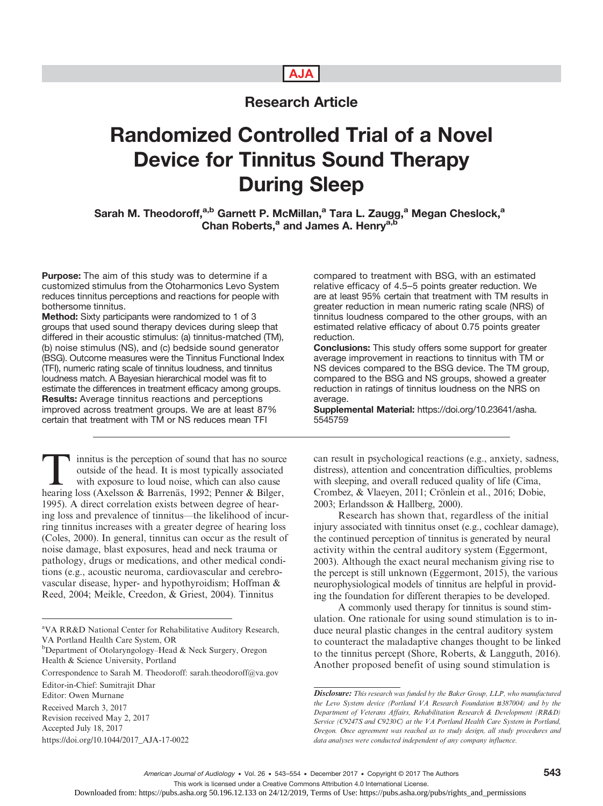# AJA

## Research Article

# Randomized Controlled Trial of a Novel Device for Tinnitus Sound Therapy During Sleep

Sarah M. Theodoroff,<sup>a,b</sup> Garnett P. McMillan,<sup>a</sup> Tara L. Zaugg,<sup>a</sup> Megan Cheslock,<sup>a</sup> Chan Roberts,<sup>a</sup> and James A. Henry<sup>a,</sup>

**Purpose:** The aim of this study was to determine if a customized stimulus from the Otoharmonics Levo System reduces tinnitus perceptions and reactions for people with bothersome tinnitus.

Method: Sixty participants were randomized to 1 of 3 groups that used sound therapy devices during sleep that differed in their acoustic stimulus: (a) tinnitus-matched (TM), (b) noise stimulus (NS), and (c) bedside sound generator (BSG). Outcome measures were the Tinnitus Functional Index (TFI), numeric rating scale of tinnitus loudness, and tinnitus loudness match. A Bayesian hierarchical model was fit to estimate the differences in treatment efficacy among groups. Results: Average tinnitus reactions and perceptions improved across treatment groups. We are at least 87% certain that treatment with TM or NS reduces mean TFI

innitus is the perception of sound that has no source<br>outside of the head. It is most typically associated<br>with exposure to loud noise, which can also cause<br>hearing loss (Ayelsson & Barrenäs, 1992; Penner & Bilger outside of the head. It is most typically associated with exposure to loud noise, which can also cause hearing loss (Axelsson & Barrenäs, 1992; Penner & Bilger, 1995). A direct correlation exists between degree of hearing loss and prevalence of tinnitus—the likelihood of incurring tinnitus increases with a greater degree of hearing loss (Coles, 2000). In general, tinnitus can occur as the result of noise damage, blast exposures, head and neck trauma or pathology, drugs or medications, and other medical conditions (e.g., acoustic neuroma, cardiovascular and cerebrovascular disease, hyper- and hypothyroidism; Hoffman & Reed, 2004; Meikle, Creedon, & Griest, 2004). Tinnitus

Correspondence to Sarah M. Theodoroff: sarah.theodoroff@va.gov

Editor-in-Chief: Sumitrajit Dhar Editor: Owen Murnane

Revision received May 2, 2017

Accepted July 18, 2017

[https://doi.org/10.1044/2017\\_AJA-17-0022](https://doi.org/10.1044/2017_AJA-17-0022)

compared to treatment with BSG, with an estimated relative efficacy of 4.5–5 points greater reduction. We are at least 95% certain that treatment with TM results in greater reduction in mean numeric rating scale (NRS) of tinnitus loudness compared to the other groups, with an estimated relative efficacy of about 0.75 points greater reduction.

Conclusions: This study offers some support for greater average improvement in reactions to tinnitus with TM or NS devices compared to the BSG device. The TM group, compared to the BSG and NS groups, showed a greater reduction in ratings of tinnitus loudness on the NRS on average.

Supplemental Material: https://doi.org/10.23641/asha. 5545759

can result in psychological reactions (e.g., anxiety, sadness, distress), attention and concentration difficulties, problems with sleeping, and overall reduced quality of life (Cima, Crombez, & Vlaeyen, 2011; Crönlein et al., 2016; Dobie, 2003; Erlandsson & Hallberg, 2000).

Research has shown that, regardless of the initial injury associated with tinnitus onset (e.g., cochlear damage), the continued perception of tinnitus is generated by neural activity within the central auditory system (Eggermont, 2003). Although the exact neural mechanism giving rise to the percept is still unknown (Eggermont, 2015), the various neurophysiological models of tinnitus are helpful in providing the foundation for different therapies to be developed.

A commonly used therapy for tinnitus is sound stimulation. One rationale for using sound stimulation is to induce neural plastic changes in the central auditory system to counteract the maladaptive changes thought to be linked to the tinnitus percept (Shore, Roberts, & Langguth, 2016). Another proposed benefit of using sound stimulation is

This work is licensed under a Creative Commons Attribution 4.0 International License.

<sup>&</sup>lt;sup>a</sup>VA RR&D National Center for Rehabilitative Auditory Research, VA Portland Health Care System, OR

<sup>&</sup>lt;sup>b</sup>Department of Otolaryngology–Head & Neck Surgery, Oregon Health & Science University, Portland

Received March 3, 2017

Disclosure: This research was funded by the Baker Group, LLP, who manufactured the Levo System device (Portland VA Research Foundation #387004) and by the Department of Veterans Affairs, Rehabilitation Research & Development (RR&D) Service (C9247S and C9230C) at the VA Portland Health Care System in Portland, Oregon. Once agreement was reached as to study design, all study procedures and data analyses were conducted independent of any company influence.

Downloaded from: https://pubs.asha.org 50.196.12.133 on 24/12/2019, Terms of Use: https://pubs.asha.org/pubs/rights\_and\_permissions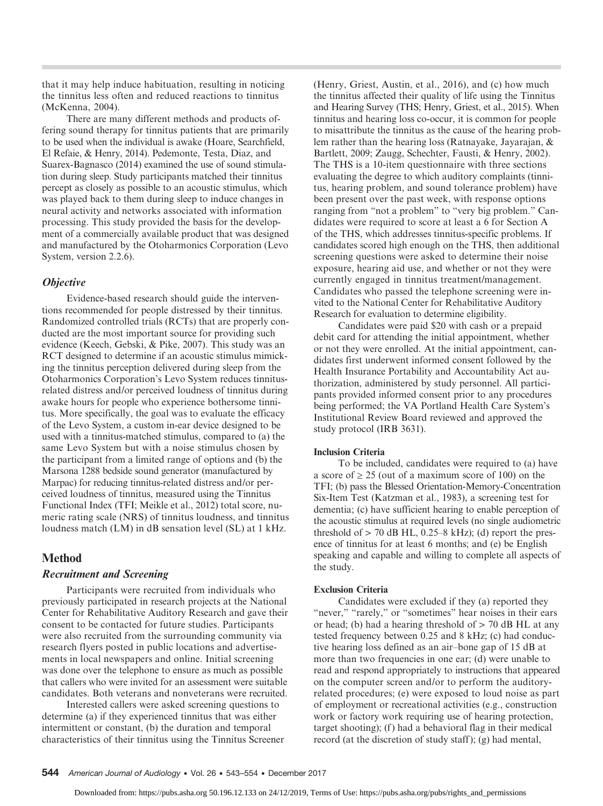that it may help induce habituation, resulting in noticing the tinnitus less often and reduced reactions to tinnitus (McKenna, 2004).

There are many different methods and products offering sound therapy for tinnitus patients that are primarily to be used when the individual is awake (Hoare, Searchfield, El Refaie, & Henry, 2014). Pedemonte, Testa, Diaz, and Suarex-Bagnasco (2014) examined the use of sound stimulation during sleep. Study participants matched their tinnitus percept as closely as possible to an acoustic stimulus, which was played back to them during sleep to induce changes in neural activity and networks associated with information processing. This study provided the basis for the development of a commercially available product that was designed and manufactured by the Otoharmonics Corporation (Levo System, version 2.2.6).

## **Objective**

Evidence-based research should guide the interventions recommended for people distressed by their tinnitus. Randomized controlled trials (RCTs) that are properly conducted are the most important source for providing such evidence (Keech, Gebski, & Pike, 2007). This study was an RCT designed to determine if an acoustic stimulus mimicking the tinnitus perception delivered during sleep from the Otoharmonics Corporation's Levo System reduces tinnitusrelated distress and/or perceived loudness of tinnitus during awake hours for people who experience bothersome tinnitus. More specifically, the goal was to evaluate the efficacy of the Levo System, a custom in-ear device designed to be used with a tinnitus-matched stimulus, compared to (a) the same Levo System but with a noise stimulus chosen by the participant from a limited range of options and (b) the Marsona 1288 bedside sound generator (manufactured by Marpac) for reducing tinnitus-related distress and/or perceived loudness of tinnitus, measured using the Tinnitus Functional Index (TFI; Meikle et al., 2012) total score, numeric rating scale (NRS) of tinnitus loudness, and tinnitus loudness match (LM) in dB sensation level (SL) at 1 kHz.

## Method

## Recruitment and Screening

Participants were recruited from individuals who previously participated in research projects at the National Center for Rehabilitative Auditory Research and gave their consent to be contacted for future studies. Participants were also recruited from the surrounding community via research flyers posted in public locations and advertisements in local newspapers and online. Initial screening was done over the telephone to ensure as much as possible that callers who were invited for an assessment were suitable candidates. Both veterans and nonveterans were recruited.

Interested callers were asked screening questions to determine (a) if they experienced tinnitus that was either intermittent or constant, (b) the duration and temporal characteristics of their tinnitus using the Tinnitus Screener (Henry, Griest, Austin, et al., 2016), and (c) how much the tinnitus affected their quality of life using the Tinnitus and Hearing Survey (THS; Henry, Griest, et al., 2015). When tinnitus and hearing loss co-occur, it is common for people to misattribute the tinnitus as the cause of the hearing problem rather than the hearing loss (Ratnayake, Jayarajan, & Bartlett, 2009; Zaugg, Schechter, Fausti, & Henry, 2002). The THS is a 10-item questionnaire with three sections evaluating the degree to which auditory complaints (tinnitus, hearing problem, and sound tolerance problem) have been present over the past week, with response options ranging from "not a problem" to "very big problem." Candidates were required to score at least a 6 for Section A of the THS, which addresses tinnitus-specific problems. If candidates scored high enough on the THS, then additional screening questions were asked to determine their noise exposure, hearing aid use, and whether or not they were currently engaged in tinnitus treatment/management. Candidates who passed the telephone screening were invited to the National Center for Rehabilitative Auditory Research for evaluation to determine eligibility.

Candidates were paid \$20 with cash or a prepaid debit card for attending the initial appointment, whether or not they were enrolled. At the initial appointment, candidates first underwent informed consent followed by the Health Insurance Portability and Accountability Act authorization, administered by study personnel. All participants provided informed consent prior to any procedures being performed; the VA Portland Health Care System's Institutional Review Board reviewed and approved the study protocol (IRB 3631).

## Inclusion Criteria

To be included, candidates were required to (a) have a score of  $\geq 25$  (out of a maximum score of 100) on the TFI; (b) pass the Blessed Orientation-Memory-Concentration Six-Item Test (Katzman et al., 1983), a screening test for dementia; (c) have sufficient hearing to enable perception of the acoustic stimulus at required levels (no single audiometric threshold of  $> 70$  dB HL, 0.25–8 kHz); (d) report the presence of tinnitus for at least 6 months; and (e) be English speaking and capable and willing to complete all aspects of the study.

## Exclusion Criteria

Candidates were excluded if they (a) reported they "never," "rarely," or "sometimes" hear noises in their ears or head; (b) had a hearing threshold of  $> 70$  dB HL at any tested frequency between 0.25 and 8 kHz; (c) had conductive hearing loss defined as an air–bone gap of 15 dB at more than two frequencies in one ear; (d) were unable to read and respond appropriately to instructions that appeared on the computer screen and/or to perform the auditoryrelated procedures; (e) were exposed to loud noise as part of employment or recreational activities (e.g., construction work or factory work requiring use of hearing protection, target shooting); (f) had a behavioral flag in their medical record (at the discretion of study staff ); (g) had mental,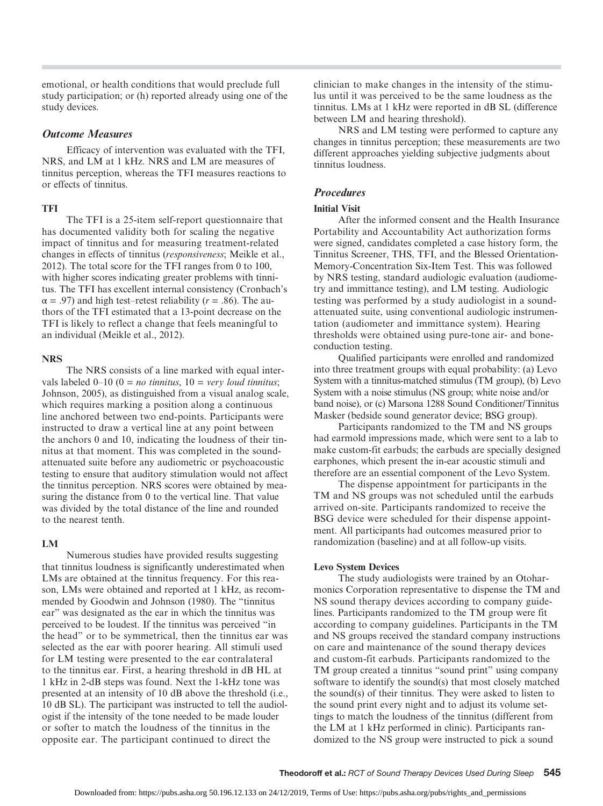emotional, or health conditions that would preclude full study participation; or (h) reported already using one of the study devices.

## Outcome Measures

Efficacy of intervention was evaluated with the TFI, NRS, and LM at 1 kHz. NRS and LM are measures of tinnitus perception, whereas the TFI measures reactions to or effects of tinnitus.

#### **TFI**

The TFI is a 25-item self-report questionnaire that has documented validity both for scaling the negative impact of tinnitus and for measuring treatment-related changes in effects of tinnitus (responsiveness; Meikle et al., 2012). The total score for the TFI ranges from 0 to 100, with higher scores indicating greater problems with tinnitus. The TFI has excellent internal consistency (Cronbach's  $\alpha$  = .97) and high test–retest reliability ( $r$  = .86). The authors of the TFI estimated that a 13-point decrease on the TFI is likely to reflect a change that feels meaningful to an individual (Meikle et al., 2012).

#### NRS

The NRS consists of a line marked with equal intervals labeled  $0-10$  ( $0 = no$  tinnitus,  $10 = very$  loud tinnitus; Johnson, 2005), as distinguished from a visual analog scale, which requires marking a position along a continuous line anchored between two end-points. Participants were instructed to draw a vertical line at any point between the anchors 0 and 10, indicating the loudness of their tinnitus at that moment. This was completed in the soundattenuated suite before any audiometric or psychoacoustic testing to ensure that auditory stimulation would not affect the tinnitus perception. NRS scores were obtained by measuring the distance from 0 to the vertical line. That value was divided by the total distance of the line and rounded to the nearest tenth.

## LM

Numerous studies have provided results suggesting that tinnitus loudness is significantly underestimated when LMs are obtained at the tinnitus frequency. For this reason, LMs were obtained and reported at 1 kHz, as recommended by Goodwin and Johnson (1980). The "tinnitus ear" was designated as the ear in which the tinnitus was perceived to be loudest. If the tinnitus was perceived "in the head" or to be symmetrical, then the tinnitus ear was selected as the ear with poorer hearing. All stimuli used for LM testing were presented to the ear contralateral to the tinnitus ear. First, a hearing threshold in dB HL at 1 kHz in 2-dB steps was found. Next the 1-kHz tone was presented at an intensity of 10 dB above the threshold (i.e., 10 dB SL). The participant was instructed to tell the audiologist if the intensity of the tone needed to be made louder or softer to match the loudness of the tinnitus in the opposite ear. The participant continued to direct the

clinician to make changes in the intensity of the stimulus until it was perceived to be the same loudness as the tinnitus. LMs at 1 kHz were reported in dB SL (difference between LM and hearing threshold).

NRS and LM testing were performed to capture any changes in tinnitus perception; these measurements are two different approaches yielding subjective judgments about tinnitus loudness.

## Procedures

#### Initial Visit

After the informed consent and the Health Insurance Portability and Accountability Act authorization forms were signed, candidates completed a case history form, the Tinnitus Screener, THS, TFI, and the Blessed Orientation-Memory-Concentration Six-Item Test. This was followed by NRS testing, standard audiologic evaluation (audiometry and immittance testing), and LM testing. Audiologic testing was performed by a study audiologist in a soundattenuated suite, using conventional audiologic instrumentation (audiometer and immittance system). Hearing thresholds were obtained using pure-tone air- and boneconduction testing.

Qualified participants were enrolled and randomized into three treatment groups with equal probability: (a) Levo System with a tinnitus-matched stimulus (TM group), (b) Levo System with a noise stimulus (NS group; white noise and/or band noise), or (c) Marsona 1288 Sound Conditioner/Tinnitus Masker (bedside sound generator device; BSG group).

Participants randomized to the TM and NS groups had earmold impressions made, which were sent to a lab to make custom-fit earbuds; the earbuds are specially designed earphones, which present the in-ear acoustic stimuli and therefore are an essential component of the Levo System.

The dispense appointment for participants in the TM and NS groups was not scheduled until the earbuds arrived on-site. Participants randomized to receive the BSG device were scheduled for their dispense appointment. All participants had outcomes measured prior to randomization (baseline) and at all follow-up visits.

#### Levo System Devices

The study audiologists were trained by an Otoharmonics Corporation representative to dispense the TM and NS sound therapy devices according to company guidelines. Participants randomized to the TM group were fit according to company guidelines. Participants in the TM and NS groups received the standard company instructions on care and maintenance of the sound therapy devices and custom-fit earbuds. Participants randomized to the TM group created a tinnitus "sound print" using company software to identify the sound(s) that most closely matched the sound(s) of their tinnitus. They were asked to listen to the sound print every night and to adjust its volume settings to match the loudness of the tinnitus (different from the LM at 1 kHz performed in clinic). Participants randomized to the NS group were instructed to pick a sound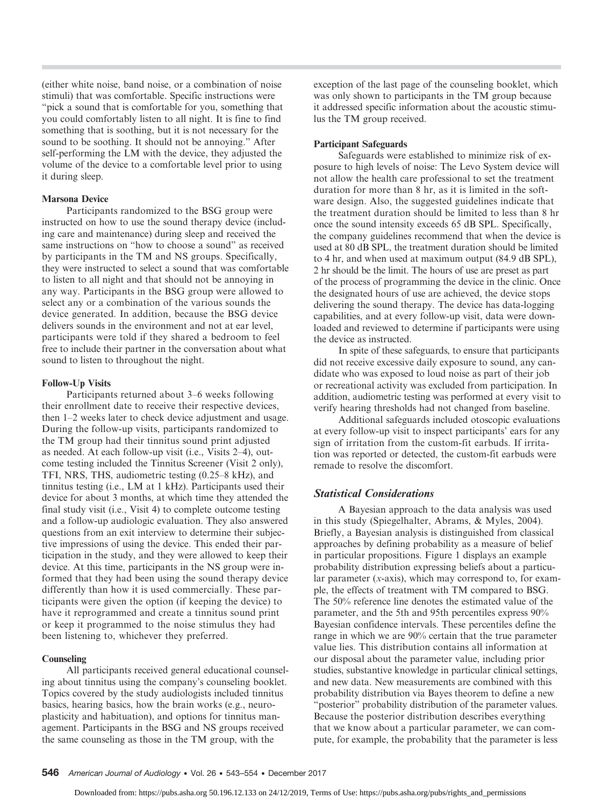(either white noise, band noise, or a combination of noise stimuli) that was comfortable. Specific instructions were "pick a sound that is comfortable for you, something that you could comfortably listen to all night. It is fine to find something that is soothing, but it is not necessary for the sound to be soothing. It should not be annoying." After self-performing the LM with the device, they adjusted the volume of the device to a comfortable level prior to using it during sleep.

#### Marsona Device

Participants randomized to the BSG group were instructed on how to use the sound therapy device (including care and maintenance) during sleep and received the same instructions on "how to choose a sound" as received by participants in the TM and NS groups. Specifically, they were instructed to select a sound that was comfortable to listen to all night and that should not be annoying in any way. Participants in the BSG group were allowed to select any or a combination of the various sounds the device generated. In addition, because the BSG device delivers sounds in the environment and not at ear level, participants were told if they shared a bedroom to feel free to include their partner in the conversation about what sound to listen to throughout the night.

#### Follow-Up Visits

Participants returned about 3–6 weeks following their enrollment date to receive their respective devices, then 1–2 weeks later to check device adjustment and usage. During the follow-up visits, participants randomized to the TM group had their tinnitus sound print adjusted as needed. At each follow-up visit (i.e., Visits 2–4), outcome testing included the Tinnitus Screener (Visit 2 only), TFI, NRS, THS, audiometric testing (0.25–8 kHz), and tinnitus testing (i.e., LM at 1 kHz). Participants used their device for about 3 months, at which time they attended the final study visit (i.e., Visit 4) to complete outcome testing and a follow-up audiologic evaluation. They also answered questions from an exit interview to determine their subjective impressions of using the device. This ended their participation in the study, and they were allowed to keep their device. At this time, participants in the NS group were informed that they had been using the sound therapy device differently than how it is used commercially. These participants were given the option (if keeping the device) to have it reprogrammed and create a tinnitus sound print or keep it programmed to the noise stimulus they had been listening to, whichever they preferred.

#### Counseling

All participants received general educational counseling about tinnitus using the company's counseling booklet. Topics covered by the study audiologists included tinnitus basics, hearing basics, how the brain works (e.g., neuroplasticity and habituation), and options for tinnitus management. Participants in the BSG and NS groups received the same counseling as those in the TM group, with the

exception of the last page of the counseling booklet, which was only shown to participants in the TM group because it addressed specific information about the acoustic stimulus the TM group received.

#### Participant Safeguards

Safeguards were established to minimize risk of exposure to high levels of noise: The Levo System device will not allow the health care professional to set the treatment duration for more than 8 hr, as it is limited in the software design. Also, the suggested guidelines indicate that the treatment duration should be limited to less than 8 hr once the sound intensity exceeds 65 dB SPL. Specifically, the company guidelines recommend that when the device is used at 80 dB SPL, the treatment duration should be limited to 4 hr, and when used at maximum output (84.9 dB SPL), 2 hr should be the limit. The hours of use are preset as part of the process of programming the device in the clinic. Once the designated hours of use are achieved, the device stops delivering the sound therapy. The device has data-logging capabilities, and at every follow-up visit, data were downloaded and reviewed to determine if participants were using the device as instructed.

In spite of these safeguards, to ensure that participants did not receive excessive daily exposure to sound, any candidate who was exposed to loud noise as part of their job or recreational activity was excluded from participation. In addition, audiometric testing was performed at every visit to verify hearing thresholds had not changed from baseline.

Additional safeguards included otoscopic evaluations at every follow-up visit to inspect participants' ears for any sign of irritation from the custom-fit earbuds. If irritation was reported or detected, the custom-fit earbuds were remade to resolve the discomfort.

## Statistical Considerations

A Bayesian approach to the data analysis was used in this study (Spiegelhalter, Abrams, & Myles, 2004). Briefly, a Bayesian analysis is distinguished from classical approaches by defining probability as a measure of belief in particular propositions. Figure 1 displays an example probability distribution expressing beliefs about a particular parameter  $(x$ -axis), which may correspond to, for example, the effects of treatment with TM compared to BSG. The 50% reference line denotes the estimated value of the parameter, and the 5th and 95th percentiles express 90% Bayesian confidence intervals. These percentiles define the range in which we are 90% certain that the true parameter value lies. This distribution contains all information at our disposal about the parameter value, including prior studies, substantive knowledge in particular clinical settings, and new data. New measurements are combined with this probability distribution via Bayes theorem to define a new "posterior" probability distribution of the parameter values. Because the posterior distribution describes everything that we know about a particular parameter, we can compute, for example, the probability that the parameter is less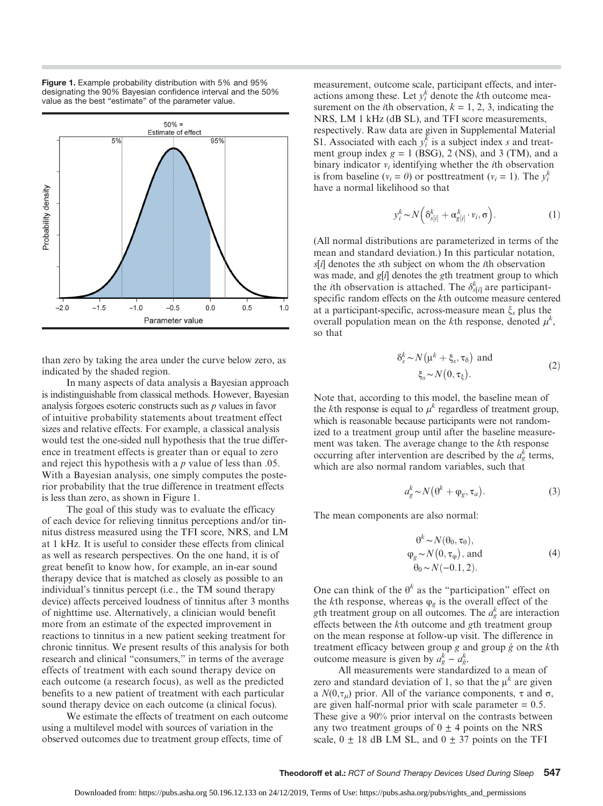Figure 1. Example probability distribution with 5% and 95% designating the 90% Bayesian confidence interval and the 50% value as the best "estimate" of the parameter value.



than zero by taking the area under the curve below zero, as indicated by the shaded region.

In many aspects of data analysis a Bayesian approach is indistinguishable from classical methods. However, Bayesian analysis forgoes esoteric constructs such as p values in favor of intuitive probability statements about treatment effect sizes and relative effects. For example, a classical analysis would test the one-sided null hypothesis that the true difference in treatment effects is greater than or equal to zero and reject this hypothesis with a  $p$  value of less than  $.05$ . With a Bayesian analysis, one simply computes the posterior probability that the true difference in treatment effects is less than zero, as shown in Figure 1.

The goal of this study was to evaluate the efficacy of each device for relieving tinnitus perceptions and/or tinnitus distress measured using the TFI score, NRS, and LM at 1 kHz. It is useful to consider these effects from clinical as well as research perspectives. On the one hand, it is of great benefit to know how, for example, an in-ear sound therapy device that is matched as closely as possible to an individual's tinnitus percept (i.e., the TM sound therapy device) affects perceived loudness of tinnitus after 3 months of nighttime use. Alternatively, a clinician would benefit more from an estimate of the expected improvement in reactions to tinnitus in a new patient seeking treatment for chronic tinnitus. We present results of this analysis for both research and clinical "consumers," in terms of the average effects of treatment with each sound therapy device on each outcome (a research focus), as well as the predicted benefits to a new patient of treatment with each particular sound therapy device on each outcome (a clinical focus).

We estimate the effects of treatment on each outcome using a multilevel model with sources of variation in the observed outcomes due to treatment group effects, time of

measurement, outcome scale, participant effects, and interactions among these. Let  $y_i^k$  denote the *k*th outcome measurement on the *i*th observation,  $k = 1, 2, 3$ , indicating the NRS, LM 1 kHz (dB SL), and TFI score measurements, respectively. Raw data are given in Supplemental Material S1. Associated with each  $y_i^k$  is a subject index s and treatment group index  $g = 1$  (BSG), 2 (NS), and 3 (TM), and a binary indicator  $v_i$  identifying whether the *i*th observation is from baseline  $(v_i = 0)$  or posttreatment  $(v_i = 1)$ . The  $y_i^k$ have a normal likelihood so that

$$
y_i^k \sim N\Big(\delta_{s[i]}^k + \alpha_{g[i]}^k \cdot v_i, \sigma\Big). \tag{1}
$$

(All normal distributions are parameterized in terms of the mean and standard deviation.) In this particular notation,  $s[i]$  denotes the sth subject on whom the *i*th observation was made, and g[i] denotes the gth treatment group to which the *i*th observation is attached. The  $\delta_{s[i]}^k$  are participantspecific random effects on the kth outcome measure centered at a participant-specific, across-measure mean  $\xi_s$  plus the overall population mean on the kth response, denoted  $\mu^k$ , so that

$$
\delta_s^k \sim N\left(\mu^k + \xi_s, \tau_\delta\right) \text{ and}
$$
  

$$
\xi_s \sim N\left(0, \tau_\xi\right).
$$
 (2)

Note that, according to this model, the baseline mean of the kth response is equal to  $\mu^k$  regardless of treatment group, which is reasonable because participants were not randomized to a treatment group until after the baseline measurement was taken. The average change to the kth response occurring after intervention are described by the  $a_g^k$  terms, which are also normal random variables, such that

$$
a_g^k \sim N(\Theta^k + \varphi_g, \tau_a). \tag{3}
$$

The mean components are also normal:

$$
\theta^k \sim N(\theta_0, \tau_\theta),
$$
  
\n
$$
\varphi_g \sim N(0, \tau_\phi), \text{ and}
$$
  
\n
$$
\theta_0 \sim N(-0.1, 2).
$$
\n(4)

One can think of the  $\theta^k$  as the "participation" effect on the kth response, whereas  $\varphi_{\varphi}$  is the overall effect of the gth treatment group on all outcomes. The  $a_g^k$  are interaction effects between the kth outcome and gth treatment group on the mean response at follow-up visit. The difference in treatment efficacy between group  $g$  and group  $\acute{g}$  on the  $k$ th outcome measure is given by  $a_g^k - a_g^k$ .

All measurements were standardized to a mean of zero and standard deviation of 1, so that the  $\mu^{k}$  are given a  $N(0, \tau_u)$  prior. All of the variance components,  $\tau$  and  $\sigma$ , are given half-normal prior with scale parameter  $= 0.5$ . These give a 90% prior interval on the contrasts between any two treatment groups of  $0 \pm 4$  points on the NRS scale,  $0 \pm 18$  dB LM SL, and  $0 \pm 37$  points on the TFI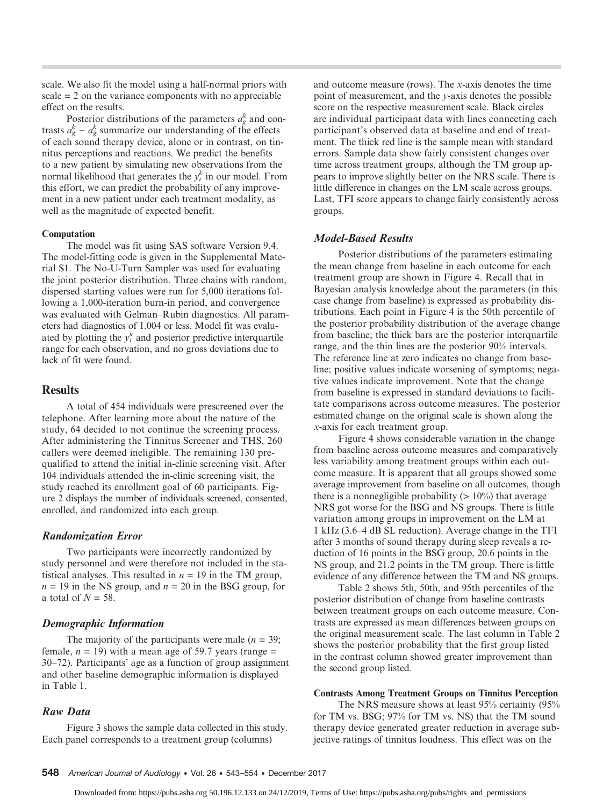scale. We also fit the model using a half-normal priors with scale  $= 2$  on the variance components with no appreciable effect on the results.

Posterior distributions of the parameters  $a_g^k$  and contrasts  $a_g^k - a_g^k$  summarize our understanding of the effects of each sound therapy device, alone or in contrast, on tinnitus perceptions and reactions. We predict the benefits to a new patient by simulating new observations from the normal likelihood that generates the  $y_i^k$  in our model. From this effort, we can predict the probability of any improvement in a new patient under each treatment modality, as well as the magnitude of expected benefit.

#### Computation

The model was fit using SAS software Version 9.4. The model-fitting code is given in the Supplemental Material S1. The No-U-Turn Sampler was used for evaluating the joint posterior distribution. Three chains with random, dispersed starting values were run for 5,000 iterations following a 1,000-iteration burn-in period, and convergence was evaluated with Gelman–Rubin diagnostics. All parameters had diagnostics of 1.004 or less. Model fit was evaluated by plotting the  $y_i^k$  and posterior predictive interquartile range for each observation, and no gross deviations due to lack of fit were found.

## Results

A total of 454 individuals were prescreened over the telephone. After learning more about the nature of the study, 64 decided to not continue the screening process. After administering the Tinnitus Screener and THS, 260 callers were deemed ineligible. The remaining 130 prequalified to attend the initial in-clinic screening visit. After 104 individuals attended the in-clinic screening visit, the study reached its enrollment goal of 60 participants. Figure 2 displays the number of individuals screened, consented, enrolled, and randomized into each group.

#### Randomization Error

Two participants were incorrectly randomized by study personnel and were therefore not included in the statistical analyses. This resulted in  $n = 19$  in the TM group,  $n = 19$  in the NS group, and  $n = 20$  in the BSG group, for a total of  $N = 58$ .

#### Demographic Information

The majority of the participants were male ( $n = 39$ ; female,  $n = 19$ ) with a mean age of 59.7 years (range = 30–72). Participants' age as a function of group assignment and other baseline demographic information is displayed in Table 1.

## Raw Data

Figure 3 shows the sample data collected in this study. Each panel corresponds to a treatment group (columns)

and outcome measure (rows). The x-axis denotes the time point of measurement, and the y-axis denotes the possible score on the respective measurement scale. Black circles are individual participant data with lines connecting each participant's observed data at baseline and end of treatment. The thick red line is the sample mean with standard errors. Sample data show fairly consistent changes over time across treatment groups, although the TM group appears to improve slightly better on the NRS scale. There is little difference in changes on the LM scale across groups. Last, TFI score appears to change fairly consistently across groups.

#### Model-Based Results

Posterior distributions of the parameters estimating the mean change from baseline in each outcome for each treatment group are shown in Figure 4. Recall that in Bayesian analysis knowledge about the parameters (in this case change from baseline) is expressed as probability distributions. Each point in Figure 4 is the 50th percentile of the posterior probability distribution of the average change from baseline; the thick bars are the posterior interquartile range, and the thin lines are the posterior 90% intervals. The reference line at zero indicates no change from baseline; positive values indicate worsening of symptoms; negative values indicate improvement. Note that the change from baseline is expressed in standard deviations to facilitate comparisons across outcome measures. The posterior estimated change on the original scale is shown along the x-axis for each treatment group.

Figure 4 shows considerable variation in the change from baseline across outcome measures and comparatively less variability among treatment groups within each outcome measure. It is apparent that all groups showed some average improvement from baseline on all outcomes, though there is a nonnegligible probability  $(> 10\%)$  that average NRS got worse for the BSG and NS groups. There is little variation among groups in improvement on the LM at 1 kHz (3.6–4 dB SL reduction). Average change in the TFI after 3 months of sound therapy during sleep reveals a reduction of 16 points in the BSG group, 20.6 points in the NS group, and 21.2 points in the TM group. There is little evidence of any difference between the TM and NS groups.

Table 2 shows 5th, 50th, and 95th percentiles of the posterior distribution of change from baseline contrasts between treatment groups on each outcome measure. Contrasts are expressed as mean differences between groups on the original measurement scale. The last column in Table 2 shows the posterior probability that the first group listed in the contrast column showed greater improvement than the second group listed.

#### Contrasts Among Treatment Groups on Tinnitus Perception

The NRS measure shows at least 95% certainty (95% for TM vs. BSG; 97% for TM vs. NS) that the TM sound therapy device generated greater reduction in average subjective ratings of tinnitus loudness. This effect was on the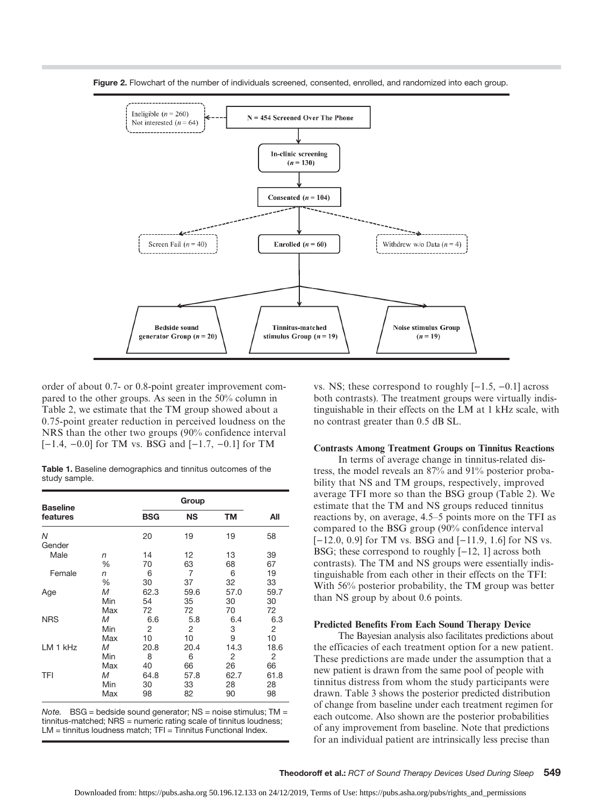

Figure 2. Flowchart of the number of individuals screened, consented, enrolled, and randomized into each group.

order of about 0.7- or 0.8-point greater improvement compared to the other groups. As seen in the 50% column in Table 2, we estimate that the TM group showed about a 0.75-point greater reduction in perceived loudness on the NRS than the other two groups (90% confidence interval [−1.4, −0.0] for TM vs. BSG and [−1.7, −0.1] for TM

Table 1. Baseline demographics and tinnitus outcomes of the study sample.

| <b>Baseline</b> |     |            |           |           |      |
|-----------------|-----|------------|-----------|-----------|------|
| features        |     | <b>BSG</b> | <b>NS</b> | <b>TM</b> | All  |
| N<br>Gender     |     | 20         | 19        | 19        | 58   |
| Male            | n   | 14         | 12        | 13        | 39   |
|                 | %   | 70         | 63        | 68        | 67   |
| Female          | n   | 6          | 7         | 6         | 19   |
|                 | %   | 30         | 37        | 32        | 33   |
| Age             | M   | 62.3       | 59.6      | 57.0      | 59.7 |
|                 | Min | 54         | 35        | 30        | 30   |
|                 | Max | 72         | 72        | 70        | 72   |
| <b>NRS</b>      | M   | 6.6        | 5.8       | 6.4       | 6.3  |
|                 | Min | 2          | 2         | 3         | 2    |
|                 | Max | 10         | 10        | 9         | 10   |
| LM 1 kHz        | M   | 20.8       | 20.4      | 14.3      | 18.6 |
|                 | Min | 8          | 6         | 2         | 2    |
|                 | Max | 40         | 66        | 26        | 66   |
| TFI             | M   | 64.8       | 57.8      | 62.7      | 61.8 |
|                 | Min | 30         | 33        | 28        | 28   |
|                 | Max | 98         | 82        | 90        | 98   |

Note.  $BSG =$  bedside sound generator;  $NS =$  noise stimulus;  $TM =$ tinnitus-matched; NRS = numeric rating scale of tinnitus loudness; LM = tinnitus loudness match; TFI = Tinnitus Functional Index.

vs. NS; these correspond to roughly [−1.5, −0.1] across both contrasts). The treatment groups were virtually indistinguishable in their effects on the LM at 1 kHz scale, with no contrast greater than 0.5 dB SL.

#### Contrasts Among Treatment Groups on Tinnitus Reactions

In terms of average change in tinnitus-related distress, the model reveals an 87% and 91% posterior probability that NS and TM groups, respectively, improved average TFI more so than the BSG group (Table 2). We estimate that the TM and NS groups reduced tinnitus reactions by, on average, 4.5–5 points more on the TFI as compared to the BSG group (90% confidence interval [−12.0, 0.9] for TM vs. BSG and [−11.9, 1.6] for NS vs. BSG; these correspond to roughly [−12, 1] across both contrasts). The TM and NS groups were essentially indistinguishable from each other in their effects on the TFI: With 56% posterior probability, the TM group was better than NS group by about 0.6 points.

#### Predicted Benefits From Each Sound Therapy Device

The Bayesian analysis also facilitates predictions about the efficacies of each treatment option for a new patient. These predictions are made under the assumption that a new patient is drawn from the same pool of people with tinnitus distress from whom the study participants were drawn. Table 3 shows the posterior predicted distribution of change from baseline under each treatment regimen for each outcome. Also shown are the posterior probabilities of any improvement from baseline. Note that predictions for an individual patient are intrinsically less precise than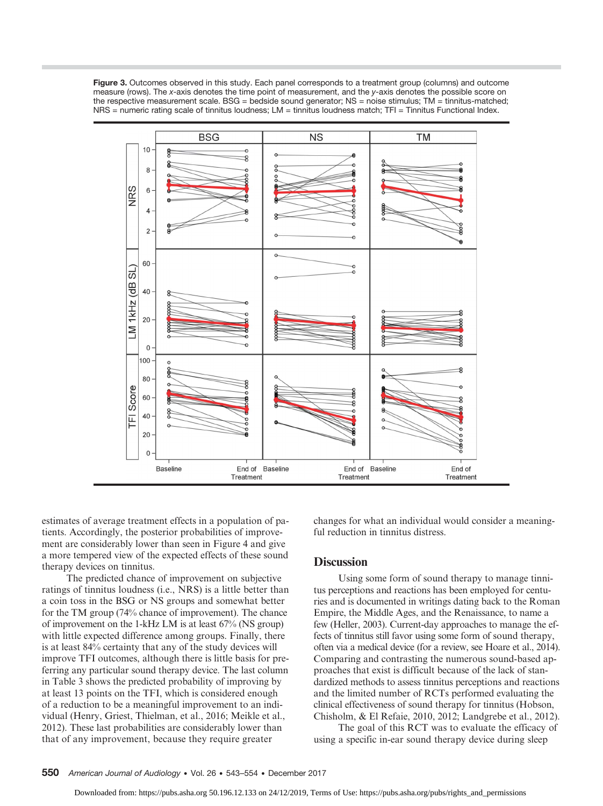Figure 3. Outcomes observed in this study. Each panel corresponds to a treatment group (columns) and outcome measure (rows). The x-axis denotes the time point of measurement, and the y-axis denotes the possible score on the respective measurement scale. BSG = bedside sound generator; NS = noise stimulus; TM = tinnitus-matched; NRS = numeric rating scale of tinnitus loudness; LM = tinnitus loudness match; TFI = Tinnitus Functional Index.



estimates of average treatment effects in a population of patients. Accordingly, the posterior probabilities of improvement are considerably lower than seen in Figure 4 and give a more tempered view of the expected effects of these sound therapy devices on tinnitus.

The predicted chance of improvement on subjective ratings of tinnitus loudness (i.e., NRS) is a little better than a coin toss in the BSG or NS groups and somewhat better for the TM group (74% chance of improvement). The chance of improvement on the 1-kHz LM is at least 67% (NS group) with little expected difference among groups. Finally, there is at least 84% certainty that any of the study devices will improve TFI outcomes, although there is little basis for preferring any particular sound therapy device. The last column in Table 3 shows the predicted probability of improving by at least 13 points on the TFI, which is considered enough of a reduction to be a meaningful improvement to an individual (Henry, Griest, Thielman, et al., 2016; Meikle et al., 2012). These last probabilities are considerably lower than that of any improvement, because they require greater

changes for what an individual would consider a meaningful reduction in tinnitus distress.

## **Discussion**

Using some form of sound therapy to manage tinnitus perceptions and reactions has been employed for centuries and is documented in writings dating back to the Roman Empire, the Middle Ages, and the Renaissance, to name a few (Heller, 2003). Current-day approaches to manage the effects of tinnitus still favor using some form of sound therapy, often via a medical device (for a review, see Hoare et al., 2014). Comparing and contrasting the numerous sound-based approaches that exist is difficult because of the lack of standardized methods to assess tinnitus perceptions and reactions and the limited number of RCTs performed evaluating the clinical effectiveness of sound therapy for tinnitus (Hobson, Chisholm, & El Refaie, 2010, 2012; Landgrebe et al., 2012).

The goal of this RCT was to evaluate the efficacy of using a specific in-ear sound therapy device during sleep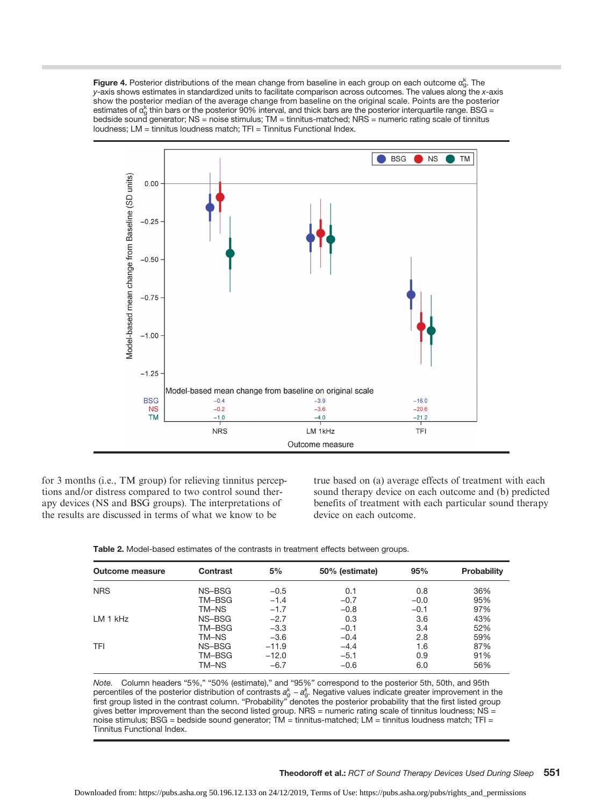Figure 4. Posterior distributions of the mean change from baseline in each group on each outcome  $\alpha_{g}^{k}$ . The y-axis shows estimates in standardized units to facilitate comparison across outcomes. The values along the x-axis show the posterior median of the average change from baseline on the original scale. Points are the posterior estimates of  $\alpha_9^k$  thin bars or the posterior 90% interval, and thick bars are the posterior interquartile range. BSG = bedside sound generator; NS = noise stimulus; TM = tinnitus-matched; NRS = numeric rating scale of tinnitus loudness; LM = tinnitus loudness match; TFI = Tinnitus Functional Index.



for 3 months (i.e., TM group) for relieving tinnitus perceptions and/or distress compared to two control sound therapy devices (NS and BSG groups). The interpretations of the results are discussed in terms of what we know to be

true based on (a) average effects of treatment with each sound therapy device on each outcome and (b) predicted benefits of treatment with each particular sound therapy device on each outcome.

Table 2. Model-based estimates of the contrasts in treatment effects between groups.

| <b>Outcome measure</b> | Contrast         | 5%                 | 50% (estimate)   | 95%              | <b>Probability</b> |
|------------------------|------------------|--------------------|------------------|------------------|--------------------|
| <b>NRS</b>             | NS-BSG           | $-0.5$             | 0.1              | 0.8              | 36%                |
|                        | TM-BSG<br>TM-NS  | $-1.4$<br>$-1.7$   | $-0.7$<br>$-0.8$ | $-0.0$<br>$-0.1$ | 95%<br>97%         |
| LM 1 kHz               | NS-BSG<br>TM-BSG | $-2.7$<br>$-3.3$   | 0.3<br>$-0.1$    | 3.6<br>3.4       | 43%<br>52%         |
|                        | TM-NS            | $-3.6$             | $-0.4$           | 2.8              | 59%                |
| <b>TFI</b>             | NS-BSG<br>TM-BSG | $-11.9$<br>$-12.0$ | $-4.4$<br>$-5.1$ | 1.6<br>0.9       | 87%<br>91%         |
|                        | TM–NS            | $-6.7$             | $-0.6$           | 6.0              | 56%                |

Note. Column headers "5%," "50% (estimate)," and "95%" correspond to the posterior 5th, 50th, and 95th percentiles of the posterior distribution of contrasts  $a_g^k - a_g^k$ . Negative values indicate greater improvement in the first group listed in the contrast column. "Probability" denotes the posterior probability that the first listed group gives better improvement than the second listed group.  $NRS =$  numeric rating scale of tinnitus loudness;  $NS =$ noise stimulus; BSG = bedside sound generator; TM = tinnitus-matched; LM = tinnitus loudness match; TFI = Tinnitus Functional Index.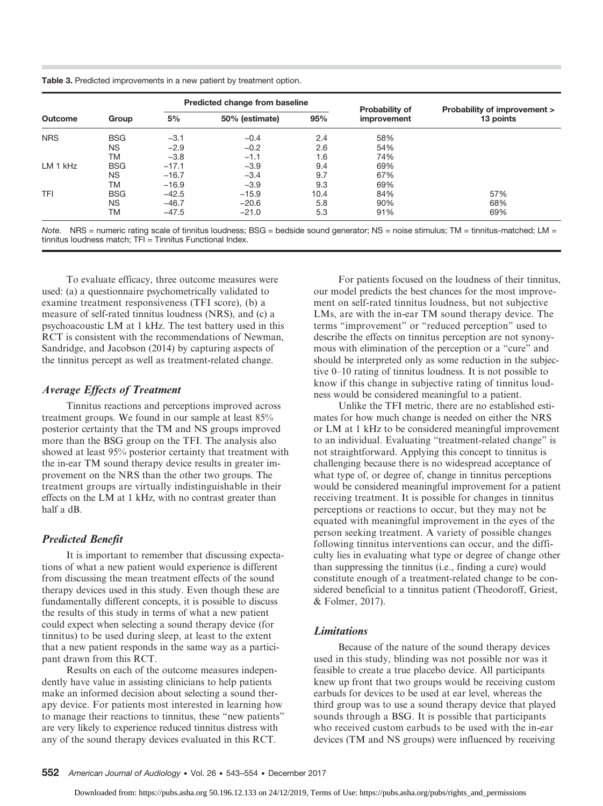Table 3. Predicted improvements in a new patient by treatment option.

|            |            |         | Predicted change from baseline |      | <b>Probability of</b><br>improvement | Probability of improvement ><br>13 points |  |
|------------|------------|---------|--------------------------------|------|--------------------------------------|-------------------------------------------|--|
| Outcome    | Group      | 5%      | 50% (estimate)                 | 95%  |                                      |                                           |  |
| <b>NRS</b> | <b>BSG</b> | $-3.1$  | $-0.4$                         | 2.4  | 58%                                  |                                           |  |
|            | <b>NS</b>  | $-2.9$  | $-0.2$                         | 2.6  | 54%                                  |                                           |  |
|            | ТM         | $-3.8$  | $-1.1$                         | 1.6  | 74%                                  |                                           |  |
| LM 1 kHz   | <b>BSG</b> | $-17.1$ | $-3.9$                         | 9.4  | 69%                                  |                                           |  |
|            | <b>NS</b>  | $-16.7$ | $-3.4$                         | 9.7  | 67%                                  |                                           |  |
|            | ТM         | $-16.9$ | $-3.9$                         | 9.3  | 69%                                  |                                           |  |
| TFI        | <b>BSG</b> | $-42.5$ | $-15.9$                        | 10.4 | 84%                                  | 57%                                       |  |
|            | <b>NS</b>  | $-46.7$ | $-20.6$                        | 5.8  | 90%                                  | 68%                                       |  |
|            | ТM         | $-47.5$ | $-21.0$                        | 5.3  | 91%                                  | 69%                                       |  |

Note. NRS = numeric rating scale of tinnitus loudness; BSG = bedside sound generator; NS = noise stimulus; TM = tinnitus-matched; LM = tinnitus loudness match; TFI = Tinnitus Functional Index.

To evaluate efficacy, three outcome measures were used: (a) a questionnaire psychometrically validated to examine treatment responsiveness (TFI score), (b) a measure of self-rated tinnitus loudness (NRS), and (c) a psychoacoustic LM at 1 kHz. The test battery used in this RCT is consistent with the recommendations of Newman, Sandridge, and Jacobson (2014) by capturing aspects of the tinnitus percept as well as treatment-related change.

#### Average Effects of Treatment

Tinnitus reactions and perceptions improved across treatment groups. We found in our sample at least 85% posterior certainty that the TM and NS groups improved more than the BSG group on the TFI. The analysis also showed at least 95% posterior certainty that treatment with the in-ear TM sound therapy device results in greater improvement on the NRS than the other two groups. The treatment groups are virtually indistinguishable in their effects on the LM at 1 kHz, with no contrast greater than half a dB.

## Predicted Benefit

It is important to remember that discussing expectations of what a new patient would experience is different from discussing the mean treatment effects of the sound therapy devices used in this study. Even though these are fundamentally different concepts, it is possible to discuss the results of this study in terms of what a new patient could expect when selecting a sound therapy device (for tinnitus) to be used during sleep, at least to the extent that a new patient responds in the same way as a participant drawn from this RCT.

Results on each of the outcome measures independently have value in assisting clinicians to help patients make an informed decision about selecting a sound therapy device. For patients most interested in learning how to manage their reactions to tinnitus, these "new patients" are very likely to experience reduced tinnitus distress with any of the sound therapy devices evaluated in this RCT.

For patients focused on the loudness of their tinnitus, our model predicts the best chances for the most improvement on self-rated tinnitus loudness, but not subjective LMs, are with the in-ear TM sound therapy device. The terms "improvement" or "reduced perception" used to describe the effects on tinnitus perception are not synonymous with elimination of the perception or a "cure" and should be interpreted only as some reduction in the subjective 0–10 rating of tinnitus loudness. It is not possible to know if this change in subjective rating of tinnitus loudness would be considered meaningful to a patient.

Unlike the TFI metric, there are no established estimates for how much change is needed on either the NRS or LM at 1 kHz to be considered meaningful improvement to an individual. Evaluating "treatment-related change" is not straightforward. Applying this concept to tinnitus is challenging because there is no widespread acceptance of what type of, or degree of, change in tinnitus perceptions would be considered meaningful improvement for a patient receiving treatment. It is possible for changes in tinnitus perceptions or reactions to occur, but they may not be equated with meaningful improvement in the eyes of the person seeking treatment. A variety of possible changes following tinnitus interventions can occur, and the difficulty lies in evaluating what type or degree of change other than suppressing the tinnitus (i.e., finding a cure) would constitute enough of a treatment-related change to be considered beneficial to a tinnitus patient (Theodoroff, Griest, & Folmer, 2017).

## Limitations

Because of the nature of the sound therapy devices used in this study, blinding was not possible nor was it feasible to create a true placebo device. All participants knew up front that two groups would be receiving custom earbuds for devices to be used at ear level, whereas the third group was to use a sound therapy device that played sounds through a BSG. It is possible that participants who received custom earbuds to be used with the in-ear devices (TM and NS groups) were influenced by receiving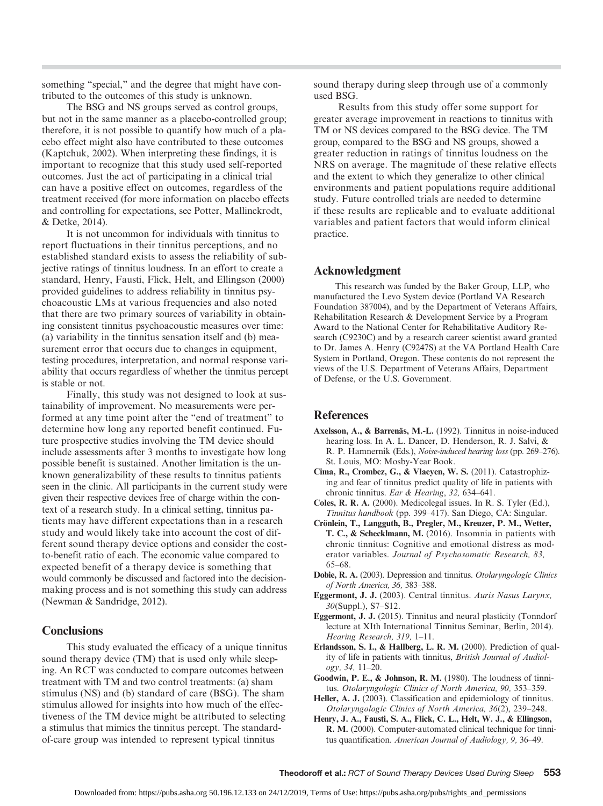something "special," and the degree that might have contributed to the outcomes of this study is unknown.

The BSG and NS groups served as control groups, but not in the same manner as a placebo-controlled group; therefore, it is not possible to quantify how much of a placebo effect might also have contributed to these outcomes (Kaptchuk, 2002). When interpreting these findings, it is important to recognize that this study used self-reported outcomes. Just the act of participating in a clinical trial can have a positive effect on outcomes, regardless of the treatment received (for more information on placebo effects and controlling for expectations, see Potter, Mallinckrodt, & Detke, 2014).

It is not uncommon for individuals with tinnitus to report fluctuations in their tinnitus perceptions, and no established standard exists to assess the reliability of subjective ratings of tinnitus loudness. In an effort to create a standard, Henry, Fausti, Flick, Helt, and Ellingson (2000) provided guidelines to address reliability in tinnitus psychoacoustic LMs at various frequencies and also noted that there are two primary sources of variability in obtaining consistent tinnitus psychoacoustic measures over time: (a) variability in the tinnitus sensation itself and (b) measurement error that occurs due to changes in equipment, testing procedures, interpretation, and normal response variability that occurs regardless of whether the tinnitus percept is stable or not.

Finally, this study was not designed to look at sustainability of improvement. No measurements were performed at any time point after the "end of treatment" to determine how long any reported benefit continued. Future prospective studies involving the TM device should include assessments after 3 months to investigate how long possible benefit is sustained. Another limitation is the unknown generalizability of these results to tinnitus patients seen in the clinic. All participants in the current study were given their respective devices free of charge within the context of a research study. In a clinical setting, tinnitus patients may have different expectations than in a research study and would likely take into account the cost of different sound therapy device options and consider the costto-benefit ratio of each. The economic value compared to expected benefit of a therapy device is something that would commonly be discussed and factored into the decisionmaking process and is not something this study can address (Newman & Sandridge, 2012).

## **Conclusions**

This study evaluated the efficacy of a unique tinnitus sound therapy device (TM) that is used only while sleeping. An RCT was conducted to compare outcomes between treatment with TM and two control treatments: (a) sham stimulus (NS) and (b) standard of care (BSG). The sham stimulus allowed for insights into how much of the effectiveness of the TM device might be attributed to selecting a stimulus that mimics the tinnitus percept. The standardof-care group was intended to represent typical tinnitus

sound therapy during sleep through use of a commonly used BSG.

Results from this study offer some support for greater average improvement in reactions to tinnitus with TM or NS devices compared to the BSG device. The TM group, compared to the BSG and NS groups, showed a greater reduction in ratings of tinnitus loudness on the NRS on average. The magnitude of these relative effects and the extent to which they generalize to other clinical environments and patient populations require additional study. Future controlled trials are needed to determine if these results are replicable and to evaluate additional variables and patient factors that would inform clinical practice.

## Acknowledgment

This research was funded by the Baker Group, LLP, who manufactured the Levo System device (Portland VA Research Foundation 387004), and by the Department of Veterans Affairs, Rehabilitation Research & Development Service by a Program Award to the National Center for Rehabilitative Auditory Research (C9230C) and by a research career scientist award granted to Dr. James A. Henry (C9247S) at the VA Portland Health Care System in Portland, Oregon. These contents do not represent the views of the U.S. Department of Veterans Affairs, Department of Defense, or the U.S. Government.

## References

- Axelsson, A., & Barrenäs, M.-L. (1992). Tinnitus in noise-induced hearing loss. In A. L. Dancer, D. Henderson, R. J. Salvi, & R. P. Hamnernik (Eds.), Noise-induced hearing loss (pp. 269–276). St. Louis, MO: Mosby-Year Book.
- Cima, R., Crombez, G., & Vlaeyen, W. S. (2011). Catastrophizing and fear of tinnitus predict quality of life in patients with chronic tinnitus. Ear & Hearing, 32, 634–641.
- Coles, R. R. A. (2000). Medicolegal issues. In R. S. Tyler (Ed.), Tinnitus handbook (pp. 399–417). San Diego, CA: Singular.
- Crönlein, T., Langguth, B., Pregler, M., Kreuzer, P. M., Wetter, T. C., & Schecklmann, M. (2016). Insomnia in patients with chronic tinnitus: Cognitive and emotional distress as moderator variables. Journal of Psychosomatic Research, 83, 65–68.
- Dobie, R. A. (2003). Depression and tinnitus. Otolaryngologic Clinics of North America, 36, 383–388.
- Eggermont, J. J. (2003). Central tinnitus. Auris Nasus Larynx, 30(Suppl.), S7–S12.
- Eggermont, J. J. (2015). Tinnitus and neural plasticity (Tonndorf lecture at XIth International Tinnitus Seminar, Berlin, 2014). Hearing Research, 319, 1–11.
- Erlandsson, S. I., & Hallberg, L. R. M. (2000). Prediction of quality of life in patients with tinnitus, British Journal of Audiology, 34, 11–20.
- Goodwin, P. E., & Johnson, R. M. (1980). The loudness of tinnitus. Otolaryngologic Clinics of North America, 90, 353–359.
- Heller, A. J. (2003). Classification and epidemiology of tinnitus. Otolaryngologic Clinics of North America, 36(2), 239–248.
- Henry, J. A., Fausti, S. A., Flick, C. L., Helt, W. J., & Ellingson, R. M. (2000). Computer-automated clinical technique for tinnitus quantification. American Journal of Audiology, 9, 36–49.

**Theodoroff et al.:** RCT of Sound Therapy Devices Used During Sleep 553